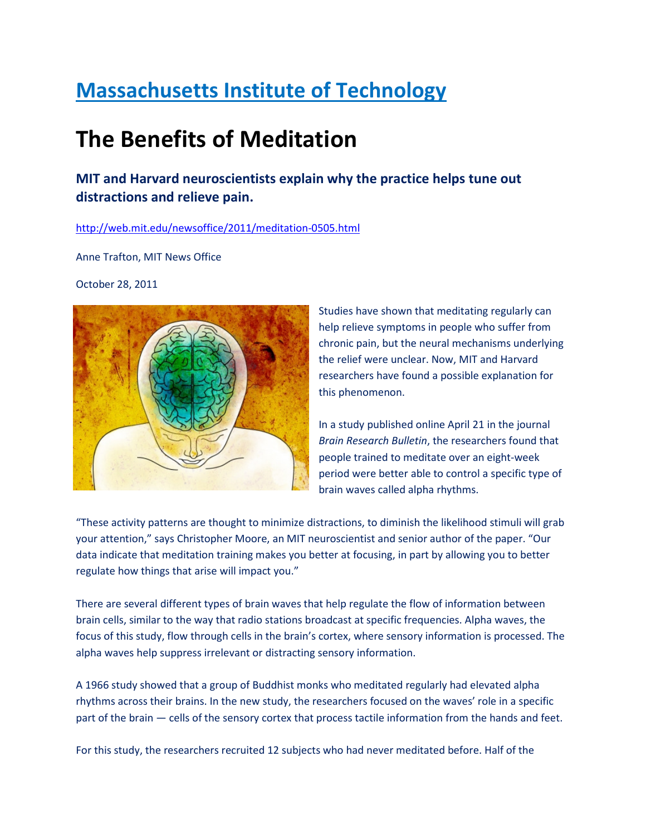## Massachusetts Institute of Technology

## The Benefits of Meditation

MIT and Harvard neuroscientists explain why the practice helps tune out distractions and relieve pain.

## http://web.mit.edu/newsoffice/2011/meditation-0505.html

Anne Trafton, MIT News Office

October 28, 2011



Studies have shown that meditating regularly can help relieve symptoms in people who suffer from chronic pain, but the neural mechanisms underlying the relief were unclear. Now, MIT and Harvard researchers have found a possible explanation for this phenomenon.

In a study published online April 21 in the journal Brain Research Bulletin, the researchers found that people trained to meditate over an eight-week period were better able to control a specific type of brain waves called alpha rhythms.

"These activity patterns are thought to minimize distractions, to diminish the likelihood stimuli will grab your attention," says Christopher Moore, an MIT neuroscientist and senior author of the paper. "Our data indicate that meditation training makes you better at focusing, in part by allowing you to better regulate how things that arise will impact you."

There are several different types of brain waves that help regulate the flow of information between brain cells, similar to the way that radio stations broadcast at specific frequencies. Alpha waves, the focus of this study, flow through cells in the brain's cortex, where sensory information is processed. The alpha waves help suppress irrelevant or distracting sensory information.

A 1966 study showed that a group of Buddhist monks who meditated regularly had elevated alpha rhythms across their brains. In the new study, the researchers focused on the waves' role in a specific part of the brain — cells of the sensory cortex that process tactile information from the hands and feet.

For this study, the researchers recruited 12 subjects who had never meditated before. Half of the